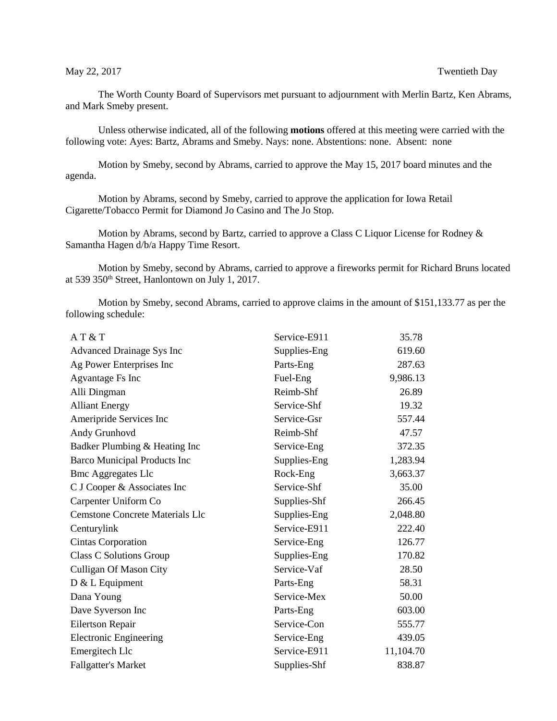The Worth County Board of Supervisors met pursuant to adjournment with Merlin Bartz, Ken Abrams, and Mark Smeby present.

Unless otherwise indicated, all of the following **motions** offered at this meeting were carried with the following vote: Ayes: Bartz, Abrams and Smeby. Nays: none. Abstentions: none. Absent: none

Motion by Smeby, second by Abrams, carried to approve the May 15, 2017 board minutes and the agenda.

Motion by Abrams, second by Smeby, carried to approve the application for Iowa Retail Cigarette/Tobacco Permit for Diamond Jo Casino and The Jo Stop.

Motion by Abrams, second by Bartz, carried to approve a Class C Liquor License for Rodney & Samantha Hagen d/b/a Happy Time Resort.

Motion by Smeby, second by Abrams, carried to approve a fireworks permit for Richard Bruns located at 539 350th Street, Hanlontown on July 1, 2017.

Motion by Smeby, second Abrams, carried to approve claims in the amount of \$151,133.77 as per the following schedule:

| AT & T                                 | Service-E911 | 35.78     |
|----------------------------------------|--------------|-----------|
| <b>Advanced Drainage Sys Inc</b>       | Supplies-Eng | 619.60    |
| Ag Power Enterprises Inc               | Parts-Eng    | 287.63    |
| Agvantage Fs Inc                       | Fuel-Eng     | 9,986.13  |
| Alli Dingman                           | Reimb-Shf    | 26.89     |
| <b>Alliant Energy</b>                  | Service-Shf  | 19.32     |
| Ameripride Services Inc                | Service-Gsr  | 557.44    |
| Andy Grunhovd                          | Reimb-Shf    | 47.57     |
| Badker Plumbing & Heating Inc          | Service-Eng  | 372.35    |
| <b>Barco Municipal Products Inc</b>    | Supplies-Eng | 1,283.94  |
| <b>Bmc Aggregates Llc</b>              | Rock-Eng     | 3,663.37  |
| C J Cooper & Associates Inc            | Service-Shf  | 35.00     |
| Carpenter Uniform Co                   | Supplies-Shf | 266.45    |
| <b>Cemstone Concrete Materials Llc</b> | Supplies-Eng | 2,048.80  |
| Centurylink                            | Service-E911 | 222.40    |
| <b>Cintas Corporation</b>              | Service-Eng  | 126.77    |
| <b>Class C Solutions Group</b>         | Supplies-Eng | 170.82    |
| <b>Culligan Of Mason City</b>          | Service-Vaf  | 28.50     |
| $D & L$ Equipment                      | Parts-Eng    | 58.31     |
| Dana Young                             | Service-Mex  | 50.00     |
| Dave Syverson Inc                      | Parts-Eng    | 603.00    |
| Eilertson Repair                       | Service-Con  | 555.77    |
| <b>Electronic Engineering</b>          | Service-Eng  | 439.05    |
| Emergitech Llc                         | Service-E911 | 11,104.70 |
| <b>Fallgatter's Market</b>             | Supplies-Shf | 838.87    |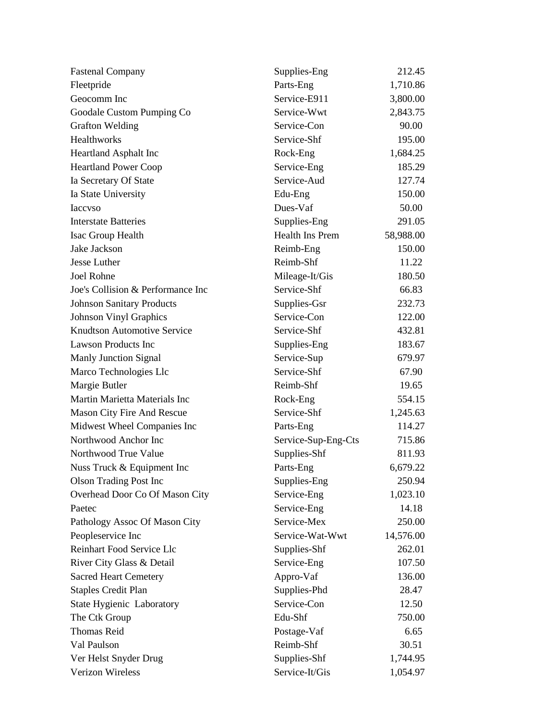| <b>Fastenal Company</b>            | Supplies-Eng           | 212.45    |
|------------------------------------|------------------------|-----------|
| Fleetpride                         | Parts-Eng              | 1,710.86  |
| Geocomm Inc                        | Service-E911           | 3,800.00  |
| Goodale Custom Pumping Co          | Service-Wwt            | 2,843.75  |
| <b>Grafton Welding</b>             | Service-Con            | 90.00     |
| Healthworks                        | Service-Shf            | 195.00    |
| Heartland Asphalt Inc              | Rock-Eng               | 1,684.25  |
| <b>Heartland Power Coop</b>        | Service-Eng            | 185.29    |
| Ia Secretary Of State              | Service-Aud            | 127.74    |
| Ia State University                | Edu-Eng                | 150.00    |
| <b>I</b> accyso                    | Dues-Vaf               | 50.00     |
| <b>Interstate Batteries</b>        | Supplies-Eng           | 291.05    |
| Isac Group Health                  | <b>Health Ins Prem</b> | 58,988.00 |
| Jake Jackson                       | Reimb-Eng              | 150.00    |
| Jesse Luther                       | Reimb-Shf              | 11.22     |
| <b>Joel Rohne</b>                  | Mileage-It/Gis         | 180.50    |
| Joe's Collision & Performance Inc  | Service-Shf            | 66.83     |
| <b>Johnson Sanitary Products</b>   | Supplies-Gsr           | 232.73    |
| <b>Johnson Vinyl Graphics</b>      | Service-Con            | 122.00    |
| <b>Knudtson Automotive Service</b> | Service-Shf            | 432.81    |
| <b>Lawson Products Inc</b>         | Supplies-Eng           | 183.67    |
| <b>Manly Junction Signal</b>       | Service-Sup            | 679.97    |
| Marco Technologies Llc             | Service-Shf            | 67.90     |
| Margie Butler                      | Reimb-Shf              | 19.65     |
| Martin Marietta Materials Inc      | Rock-Eng               | 554.15    |
| Mason City Fire And Rescue         | Service-Shf            | 1,245.63  |
| Midwest Wheel Companies Inc        | Parts-Eng              | 114.27    |
| Northwood Anchor Inc               | Service-Sup-Eng-Cts    | 715.86    |
| Northwood True Value               | Supplies-Shf           | 811.93    |
| Nuss Truck & Equipment Inc         | Parts-Eng              | 6,679.22  |
| <b>Olson Trading Post Inc</b>      | Supplies-Eng           | 250.94    |
| Overhead Door Co Of Mason City     | Service-Eng            | 1,023.10  |
| Paetec                             | Service-Eng            | 14.18     |
| Pathology Assoc Of Mason City      | Service-Mex            | 250.00    |
| Peopleservice Inc                  | Service-Wat-Wwt        | 14,576.00 |
| Reinhart Food Service Llc          | Supplies-Shf           | 262.01    |
| River City Glass & Detail          | Service-Eng            | 107.50    |
| <b>Sacred Heart Cemetery</b>       | Appro-Vaf              | 136.00    |
| <b>Staples Credit Plan</b>         | Supplies-Phd           | 28.47     |
| State Hygienic Laboratory          | Service-Con            | 12.50     |
| The Ctk Group                      | Edu-Shf                | 750.00    |
| <b>Thomas Reid</b>                 | Postage-Vaf            | 6.65      |
| Val Paulson                        | Reimb-Shf              | 30.51     |
| Ver Helst Snyder Drug              | Supplies-Shf           | 1,744.95  |
| Verizon Wireless                   | Service-It/Gis         | 1,054.97  |